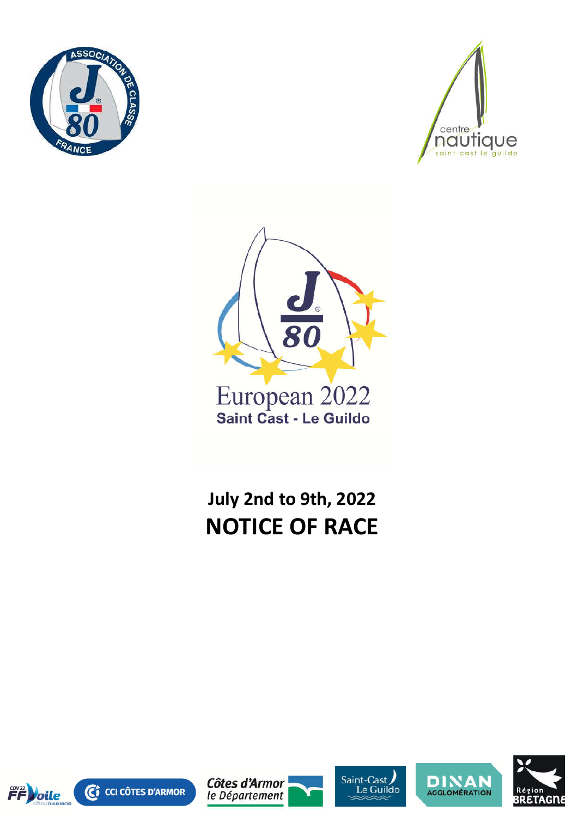





# **July 2nd to 9th, 2022 NOTICE OF RACE**











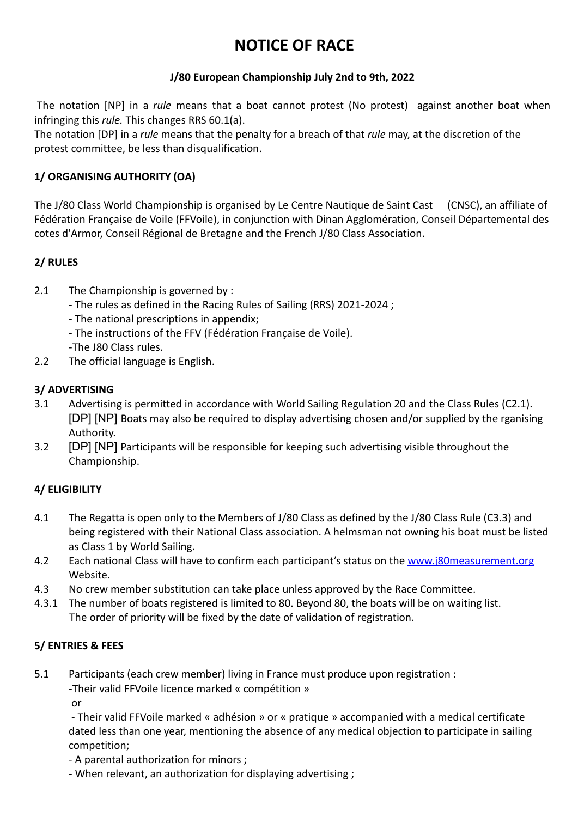## **NOTICE OF RACE**

### **J/80 European Championship July 2nd to 9th, 2022**

The notation [NP] in a *rule* means that a boat cannot protest (No protest) against another boat when infringing this *rule.* This changes RRS 60.1(a).

The notation [DP] in a *rule* means that the penalty for a breach of that *rule* may, at the discretion of the protest committee, be less than disqualification.

### **1/ ORGANISING AUTHORITY (OA)**

The J/80 Class World Championship is organised by Le Centre Nautique de Saint Cast (CNSC), an affiliate of Fédération Française de Voile (FFVoile), in conjunction with Dinan Agglomération, Conseil Départemental des cotes d'Armor, Conseil Régional de Bretagne and the French J/80 Class Association.

### **2/ RULES**

- 2.1 The Championship is governed by :
	- The rules as defined in the Racing Rules of Sailing (RRS) 2021-2024 ;
	- The national prescriptions in appendix;
	- The instructions of the FFV (Fédération Française de Voile).
	- -The J80 Class rules.
- 2.2 The official language is English.

### **3/ ADVERTISING**

- 3.1 Advertising is permitted in accordance with World Sailing Regulation 20 and the Class Rules (C2.1). [DP] [NP] Boats may also be required to display advertising chosen and/or supplied by the rganising Authority.
- 3.2 [DP] [NP] Participants will be responsible for keeping such advertising visible throughout the Championship.

### **4/ ELIGIBILITY**

- 4.1 The Regatta is open only to the Members of J/80 Class as defined by the J/80 Class Rule (C3.3) and being registered with their National Class association. A helmsman not owning his boat must be listed as Class 1 by World Sailing.
- 4.2 Each national Class will have to confirm each participant's status on the www.j80measurement.org Website.
- 4.3 No crew member substitution can take place unless approved by the Race Committee.
- 4.3.1 The number of boats registered is limited to 80. Beyond 80, the boats will be on waiting list. The order of priority will be fixed by the date of validation of registration.

### **5/ ENTRIES & FEES**

- 5.1 Participants (each crew member) living in France must produce upon registration :
	- -Their valid FFVoile licence marked « compétition »

or

- Their valid FFVoile marked « adhésion » or « pratique » accompanied with a medical certificate dated less than one year, mentioning the absence of any medical objection to participate in sailing competition;

- A parental authorization for minors ;
- When relevant, an authorization for displaying advertising ;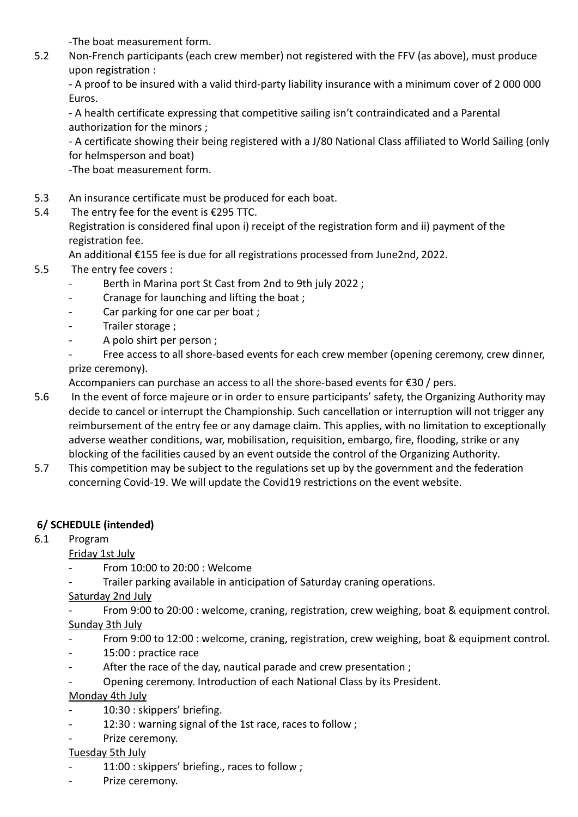-The boat measurement form.

5.2 Non-French participants (each crew member) not registered with the FFV (as above), must produce upon registration :

- A proof to be insured with a valid third-party liability insurance with a minimum cover of 2 000 000 Euros.

- A health certificate expressing that competitive sailing isn't contraindicated and a Parental authorization for the minors ;

- A certificate showing their being registered with a J/80 National Class affiliated to World Sailing (only for helmsperson and boat)

-The boat measurement form.

- 5.3 An insurance certificate must be produced for each boat.
- 5.4 The entry fee for the event is €295 TTC.

Registration is considered final upon i) receipt of the registration form and ii) payment of the registration fee.

An additional €155 fee is due for all registrations processed from June2nd, 2022.

- 5.5 The entry fee covers :
	- Berth in Marina port St Cast from 2nd to 9th july 2022;
	- Cranage for launching and lifting the boat ;
	- Car parking for one car per boat ;
	- Trailer storage ;
	- A polo shirt per person;
	- Free access to all shore-based events for each crew member (opening ceremony, crew dinner, prize ceremony).

Accompaniers can purchase an access to all the shore-based events for €30 / pers.

- 5.6 In the event of force majeure or in order to ensure participants' safety, the Organizing Authority may decide to cancel or interrupt the Championship. Such cancellation or interruption will not trigger any reimbursement of the entry fee or any damage claim. This applies, with no limitation to exceptionally adverse weather conditions, war, mobilisation, requisition, embargo, fire, flooding, strike or any blocking of the facilities caused by an event outside the control of the Organizing Authority.
- 5.7 This competition may be subject to the regulations set up by the government and the federation concerning Covid-19. We will update the Covid19 restrictions on the event website.

### **6/ SCHEDULE (intended)**

6.1 Program

### Friday 1st July

- From 10:00 to 20:00 : Welcome
- Trailer parking available in anticipation of Saturday craning operations.

### Saturday 2nd July

From 9:00 to 20:00 : welcome, craning, registration, crew weighing, boat & equipment control. Sunday 3th July

- From 9:00 to 12:00 : welcome, craning, registration, crew weighing, boat & equipment control.
- 15:00 : practice race
- After the race of the day, nautical parade and crew presentation;
- Opening ceremony. Introduction of each National Class by its President.

### Monday 4th July

- 10:30 : skippers' briefing.
- 12:30 : warning signal of the 1st race, races to follow ;
- Prize ceremony.

### Tuesday 5th July

- 11:00 : skippers' briefing., races to follow ;
- Prize ceremony.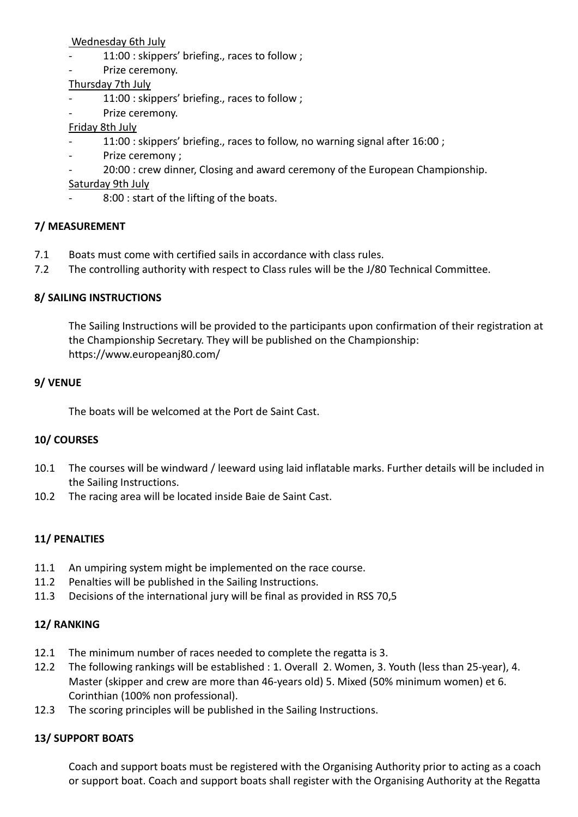Wednesday 6th July

- 11:00 : skippers' briefing., races to follow ;
- Prize ceremony.

#### Thursday 7th July

- 11:00 : skippers' briefing., races to follow ;
- Prize ceremony.

#### Friday 8th July

- 11:00 : skippers' briefing., races to follow, no warning signal after 16:00 ;
- Prize ceremony ;
	- 20:00 : crew dinner, Closing and award ceremony of the European Championship.
- Saturday 9th July
	- 8:00 : start of the lifting of the boats.

#### **7/ MEASUREMENT**

- 7.1 Boats must come with certified sails in accordance with class rules.
- 7.2 The controlling authority with respect to Class rules will be the J/80 Technical Committee.

#### **8/ SAILING INSTRUCTIONS**

The Sailing Instructions will be provided to the participants upon confirmation of their registration at the Championship Secretary. They will be published on the Championship: https://www.europeanj80.com/

#### **9/ VENUE**

The boats will be welcomed at the Port de Saint Cast.

#### **10/ COURSES**

- 10.1 The courses will be windward / leeward using laid inflatable marks. Further details will be included in the Sailing Instructions.
- 10.2 The racing area will be located inside Baie de Saint Cast.

### **11/ PENALTIES**

- 11.1 An umpiring system might be implemented on the race course.
- 11.2 Penalties will be published in the Sailing Instructions.
- 11.3 Decisions of the international jury will be final as provided in RSS 70,5

### **12/ RANKING**

- 12.1 The minimum number of races needed to complete the regatta is 3.
- 12.2 The following rankings will be established : 1. Overall 2. Women, 3. Youth (less than 25-year), 4. Master (skipper and crew are more than 46-years old) 5. Mixed (50% minimum women) et 6. Corinthian (100% non professional).
- 12.3 The scoring principles will be published in the Sailing Instructions.

### **13/ SUPPORT BOATS**

Coach and support boats must be registered with the Organising Authority prior to acting as a coach or support boat. Coach and support boats shall register with the Organising Authority at the Regatta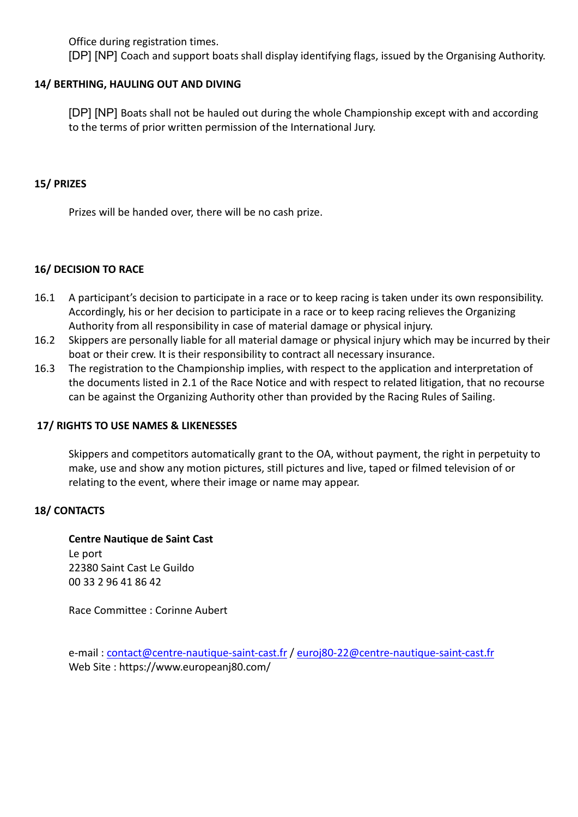Office during registration times.

[DP] [NP] Coach and support boats shall display identifying flags, issued by the Organising Authority.

#### **14/ BERTHING, HAULING OUT AND DIVING**

[DP] [NP] Boats shall not be hauled out during the whole Championship except with and according to the terms of prior written permission of the International Jury.

#### **15/ PRIZES**

Prizes will be handed over, there will be no cash prize.

#### **16/ DECISION TO RACE**

- 16.1 A participant's decision to participate in a race or to keep racing is taken under its own responsibility. Accordingly, his or her decision to participate in a race or to keep racing relieves the Organizing Authority from all responsibility in case of material damage or physical injury.
- 16.2 Skippers are personally liable for all material damage or physical injury which may be incurred by their boat or their crew. It is their responsibility to contract all necessary insurance.
- 16.3 The registration to the Championship implies, with respect to the application and interpretation of the documents listed in 2.1 of the Race Notice and with respect to related litigation, that no recourse can be against the Organizing Authority other than provided by the Racing Rules of Sailing.

#### **17/ RIGHTS TO USE NAMES & LIKENESSES**

Skippers and competitors automatically grant to the OA, without payment, the right in perpetuity to make, use and show any motion pictures, still pictures and live, taped or filmed television of or relating to the event, where their image or name may appear.

#### **18/ CONTACTS**

**Centre Nautique de Saint Cast** Le port 22380 Saint Cast Le Guildo 00 33 2 96 41 86 42

Race Committee : Corinne Aubert

e-mail: contact@centre-nautique-saint-cast.fr / euroj80-22@centre-nautique-saint-cast.fr Web Site : https://www.europeanj80.com/